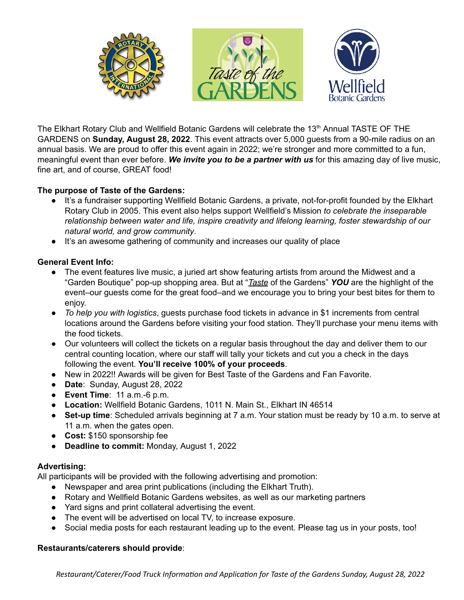

The Elkhart Rotary Club and Wellfield Botanic Gardens will celebrate the 13<sup>th</sup> Annual TASTE OF THE GARDENS on **Sunday, August 28, 2022**. This event attracts over 5,000 guests from a 90-mile radius on an annual basis. We are proud to offer this event again in 2022; we're stronger and more committed to a fun, meaningful event than ever before. *We invite you to be a partner with us* for this amazing day of live music, fine art, and of course, GREAT food!

# **The purpose of Taste of the Gardens:**

- It's a fundraiser supporting Wellfield Botanic Gardens, a private, not-for-profit founded by the Elkhart Rotary Club in 2005. This event also helps support Wellfield's Mission *to celebrate the inseparable relationship between water and life, inspire creativity and lifelong learning, foster stewardship of our natural world, and grow community*.
- It's an awesome gathering of community and increases our quality of place

### **General Event Info:**

- The event features live music, a juried art show featuring artists from around the Midwest and a "Garden Boutique" pop-up shopping area. But at "*Taste* of the Gardens" *YOU* are the highlight of the event–our guests come for the great food–and we encourage you to bring your best bites for them to enjoy.
- *To help you with logistics*, guests purchase food tickets in advance in \$1 increments from central locations around the Gardens before visiting your food station. They'll purchase your menu items with the food tickets.
- Our volunteers will collect the tickets on a regular basis throughout the day and deliver them to our central counting location, where our staff will tally your tickets and cut you a check in the days following the event. **You'll receive 100% of your proceeds**.
- New in 2022!! Awards will be given for Best Taste of the Gardens and Fan Favorite.
- **Date**: Sunday, August 28, 2022
- **Event Time**: 11 a.m.-6 p.m.
- **Location:** Wellfield Botanic Gardens, 1011 N. Main St., Elkhart IN 46514
- **Set-up time**: Scheduled arrivals beginning at 7 a.m. Your station must be ready by 10 a.m. to serve at 11 a.m. when the gates open.
- **Cost:** \$150 sponsorship fee
- *●* **Deadline to commit:** Monday, August 1, 2022

#### **Advertising:**

All participants will be provided with the following advertising and promotion:

- Newspaper and area print publications (including the Elkhart Truth).
- Rotary and Wellfield Botanic Gardens websites, as well as our marketing partners
- Yard signs and print collateral advertising the event.
- The event will be advertised on local TV, to increase exposure.
- Social media posts for each restaurant leading up to the event. Please tag us in your posts, too!

#### **Restaurants/caterers should provide**: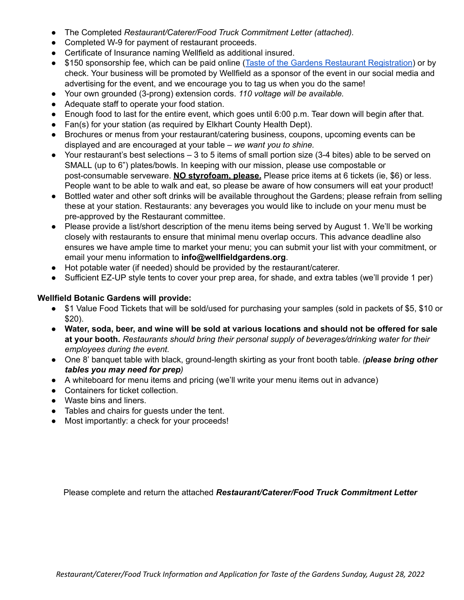- The Completed *Restaurant/Caterer/Food Truck Commitment Letter (attached).*
- Completed W-9 for payment of restaurant proceeds.
- Certificate of Insurance naming Wellfield as additional insured.
- \$150 sponsorship fee, which can be paid online (Taste of the Gardens Restaurant [Registration](http://35522.blackbaudhosting.com/35522/Taste-of-the-Gardens-Restaurant-Registration)) or by check. Your business will be promoted by Wellfield as a sponsor of the event in our social media and advertising for the event, and we encourage you to tag us when you do the same!
- Your own grounded (3-prong) extension cords. *110 voltage will be available.*
- Adequate staff to operate your food station.
- Enough food to last for the entire event, which goes until 6:00 p.m. Tear down will begin after that.
- Fan(s) for your station (as required by Elkhart County Health Dept).
- Brochures or menus from your restaurant/catering business, coupons, upcoming events can be displayed and are encouraged at your table – *we want you to shine.*
- Your restaurant's best selections 3 to 5 items of small portion size (3-4 bites) able to be served on SMALL (up to 6") plates/bowls. In keeping with our mission, please use compostable or post-consumable serveware. **NO styrofoam, please.** Please price items at 6 tickets (ie, \$6) or less. People want to be able to walk and eat, so please be aware of how consumers will eat your product!
- Bottled water and other soft drinks will be available throughout the Gardens; please refrain from selling these at your station. Restaurants: any beverages you would like to include on your menu must be pre-approved by the Restaurant committee.
- *●* Please provide a list/short description of the menu items being served by August 1. We'll be working closely with restaurants to ensure that minimal menu overlap occurs. This advance deadline also ensures we have ample time to market your menu; you can submit your list with your commitment, or email your menu information to **info@wellfieldgardens.org**.
- Hot potable water (if needed) should be provided by the restaurant/caterer.
- **●** Sufficient EZ-UP style tents to cover your prep area, for shade, and extra tables (we'll provide 1 per)

## **Wellfield Botanic Gardens will provide:**

- \$1 Value Food Tickets that will be sold/used for purchasing your samples (sold in packets of \$5, \$10 or \$20).
- **Water, soda, beer, and wine will be sold at various locations and should not be offered for sale at your booth.** *Restaurants should bring their personal supply of beverages/drinking water for their employees during the event.*
- *●* One 8' banquet table with black, ground-length skirting as your front booth table. *(please bring other tables you may need for prep)*
- A whiteboard for menu items and pricing (we'll write your menu items out in advance)
- Containers for ticket collection.
- Waste bins and liners.
- Tables and chairs for guests under the tent.
- Most importantly: a check for your proceeds!

Please complete and return the attached *Restaurant/Caterer/Food Truck Commitment Letter*